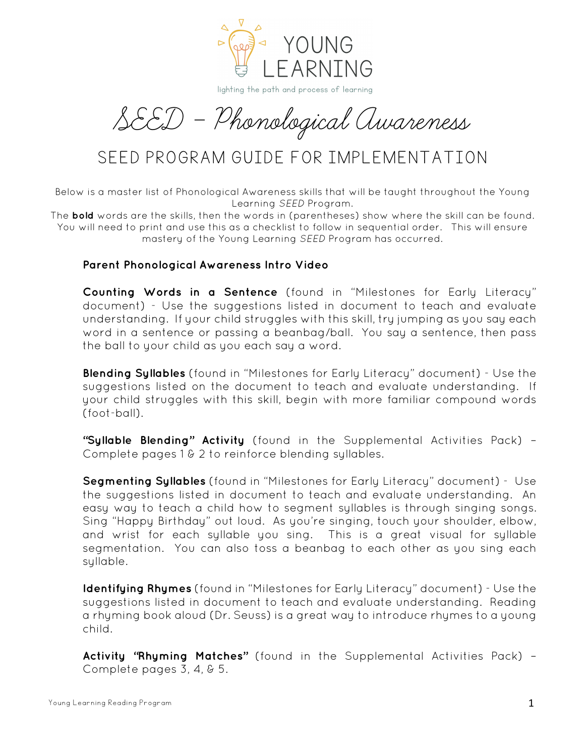

lighting the path and process of learning

SEED - Phonological Awareness

# SEED PROGRAM GUIDE FOR IMPLEMENTATION

Below is a master list of Phonological Awareness skills that will be taught throughout the Young Learning *SEED* Program.

The **bold** words are the skills, then the words in (parentheses) show where the skill can be found. You will need to print and use this as a checklist to follow in sequential order. This will ensure mastery of the Young Learning *SEED* Program has occurred.

#### **Parent Phonological Awareness Intro Video**

 **Counting Words in a Sentence** (found in "Milestones for Early Literacy" document) - Use the suggestions listed in document to teach and evaluate understanding. If your child struggles with this skill, try jumping as you say each word in a sentence or passing a beanbag/ball. You say a sentence, then pass the ball to your child as you each say a word.

 **Blending Syllables** (found in "Milestones for Early Literacy" document) - Use the suggestions listed on the document to teach and evaluate understanding. If your child struggles with this skill, begin with more familiar compound words (foot-ball).

 **"Syllable Blending" Activity** (found in the Supplemental Activities Pack) *–* Complete pages 1 & 2 to reinforce blending syllables.

 **Segmenting Syllables** (found in "Milestones for Early Literacy" document) - Use the suggestions listed in document to teach and evaluate understanding. An easy way to teach a child how to segment syllables is through singing songs. Sing "Happy Birthday" out loud. As you're singing, touch your shoulder, elbow, and wrist for each syllable you sing. This is a great visual for syllable segmentation. You can also toss a beanbag to each other as you sing each syllable.

 **Identifying Rhymes** (found in "Milestones for Early Literacy" document) - Use the suggestions listed in document to teach and evaluate understanding. Reading a rhyming book aloud (Dr. Seuss) is a great way to introduce rhymes to a young child.

 **Activity "Rhyming Matches"** (found in the Supplemental Activities Pack) – Complete pages 3, 4, & 5.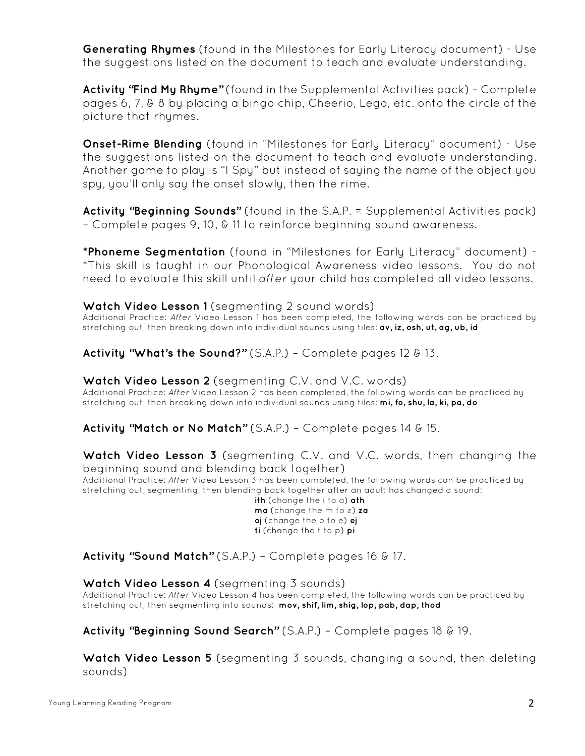**Generating Rhymes** (found in the Milestones for Early Literacy document) - Use the suggestions listed on the document to teach and evaluate understanding.

 **Activity "Find My Rhyme"** (found in the Supplemental Activities pack) – Complete pages 6, 7, & 8 by placing a bingo chip, Cheerio, Lego, etc. onto the circle of the picture that rhymes.

 **Onset-Rime Blending** (found in "Milestones for Early Literacy" document) - Use the suggestions listed on the document to teach and evaluate understanding. Another game to play is "I Spy" but instead of saying the name of the object you spy, you'll only say the onset slowly, then the rime.

 **Activity "Beginning Sounds"** (found in the S.A.P. = Supplemental Activities pack) – Complete pages 9, 10, & 11 to reinforce beginning sound awareness.

 **\*Phoneme Segmentation** (found in "Milestones for Early Literacy" document) - \*This skill is taught in our Phonological Awareness video lessons. You do not need to evaluate this skill until *after* your child has completed all video lessons.

### Watch Video Lesson 1 (segmenting 2 sound words)

Additional Practice: *After* Video Lesson 1 has been completed, the following words can be practiced by stretching out, then breaking down into individual sounds using tiles: **av, iz, osh, ut, ag, ub, id**

**Activity "What's the Sound?"** (S.A.P.) – Complete pages 12 & 13.

### **Watch Video Lesson 2** (segmenting C.V. and V.C. words)

Additional Practice: *After* Video Lesson 2 has been completed, the following words can be practiced by stretching out, then breaking down into individual sounds using tiles: **mi, fo, shu, la, ki, pa, do**

**Activity "Match or No Match"** (S.A.P.) – Complete pages 14 & 15.

### **Watch Video Lesson 3** (segmenting C.V. and V.C. words, then changing the beginning sound and blending back together)

Additional Practice: *After* Video Lesson 3 has been completed, the following words can be practiced by stretching out, segmenting, then blending back together after an adult has changed a sound:

**ith** (change the i to a) **ath ma** (change the m to z) **za oj** (change the o to e) **ej ti** (change the t to p) **pi** 

**Activity "Sound Match"** (S.A.P.) – Complete pages 16 & 17.

### **Watch Video Lesson 4** (segmenting 3 sounds)

Additional Practice: *After* Video Lesson 4 has been completed, the following words can be practiced by stretching out, then segmenting into sounds: **mov, shif, lim, shig, lop, pab, dap, thod**

**Activity "Beginning Sound Search"** (S.A.P.) – Complete pages 18 & 19.

 **Watch Video Lesson 5** (segmenting 3 sounds, changing a sound, then deleting sounds)